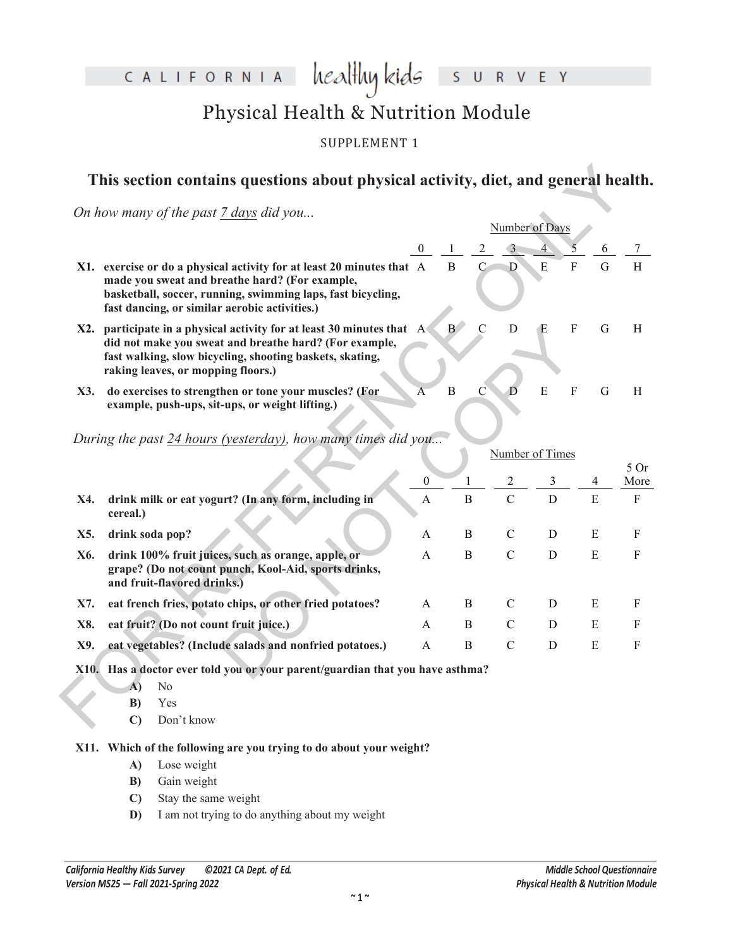CALIFORNIA

#### heal<del>l</del>luy kids III S U R V E Y

## Physical Health & Nutrition Module

#### SUPPLEMENT 1

### **This section contains questions about physical activity, diet, and general health.**

|                                                              |                                                                                                                                                                                                                                   |                                                         | This section contains questions about physical activity, diet, and general health.                                                                                                     |  |                                    |                |                |                                  |                  |                |                             |                     |
|--------------------------------------------------------------|-----------------------------------------------------------------------------------------------------------------------------------------------------------------------------------------------------------------------------------|---------------------------------------------------------|----------------------------------------------------------------------------------------------------------------------------------------------------------------------------------------|--|------------------------------------|----------------|----------------|----------------------------------|------------------|----------------|-----------------------------|---------------------|
| On how many of the past 7 days did you<br>Number of Days     |                                                                                                                                                                                                                                   |                                                         |                                                                                                                                                                                        |  |                                    |                |                |                                  |                  |                |                             |                     |
|                                                              |                                                                                                                                                                                                                                   |                                                         |                                                                                                                                                                                        |  | $\theta$                           | 1              | $\overline{c}$ | $\mathbf{3}$                     | $\overline{4}$   | 5              | 6                           | 7                   |
|                                                              |                                                                                                                                                                                                                                   | fast dancing, or similar aerobic activities.)           | X1. exercise or do a physical activity for at least 20 minutes that A<br>made you sweat and breathe hard? (For example,<br>basketball, soccer, running, swimming laps, fast bicycling, |  |                                    | $\mathbf{B}$   | $\mathbf C$    | $\mathbf{D}$                     | E                | $\mathbf{F}$   | G                           | H                   |
|                                                              | X2. participate in a physical activity for at least 30 minutes that A<br>did not make you sweat and breathe hard? (For example,<br>fast walking, slow bicycling, shooting baskets, skating,<br>raking leaves, or mopping floors.) |                                                         |                                                                                                                                                                                        |  |                                    | $B^{\prime}$   | $\overline{C}$ | D                                | E                | F              | G                           | H                   |
| X3.                                                          |                                                                                                                                                                                                                                   | example, push-ups, sit-ups, or weight lifting.)         | do exercises to strengthen or tone your muscles? (For                                                                                                                                  |  | A                                  | $\overline{B}$ | C              | Ð                                | E                | $\overline{F}$ | G                           | H                   |
| During the past 24 hours (yesterday), how many times did you |                                                                                                                                                                                                                                   |                                                         |                                                                                                                                                                                        |  |                                    |                |                |                                  | Number of Times  |                |                             |                     |
|                                                              |                                                                                                                                                                                                                                   |                                                         |                                                                                                                                                                                        |  |                                    |                |                |                                  |                  |                |                             | 5 Or                |
| <b>X4.</b>                                                   |                                                                                                                                                                                                                                   |                                                         | drink milk or eat yogurt? (In any form, including in                                                                                                                                   |  | $\boldsymbol{0}$<br>$\overline{A}$ | $\, {\bf B}$   |                | $\overline{2}$<br>$\overline{C}$ | 3<br>$\mathbf D$ |                | $\overline{4}$<br>${\bf E}$ | More<br>$\mathbf F$ |
|                                                              | cereal.)                                                                                                                                                                                                                          |                                                         |                                                                                                                                                                                        |  |                                    |                |                |                                  |                  |                |                             |                     |
| X5.                                                          | drink soda pop?                                                                                                                                                                                                                   |                                                         |                                                                                                                                                                                        |  | $\mathbf{A}$                       | B              |                | C                                | D                |                | E                           | F                   |
| X6.                                                          | drink 100% fruit juices, such as orange, apple, or<br>grape? (Do not count punch, Kool-Aid, sports drinks,<br>and fruit-flavored drinks.)                                                                                         |                                                         |                                                                                                                                                                                        |  | A                                  |                | B              | $\mathbf C$                      | D                |                | ${\bf E}$                   | $\mathbf{F}$        |
| X7.                                                          | eat french fries, potato chips, or other fried potatoes?                                                                                                                                                                          |                                                         |                                                                                                                                                                                        |  | A                                  | B              |                | $\mathcal{C}$                    | D                |                | E                           | F                   |
| X8.                                                          | eat fruit? (Do not count fruit juice.)                                                                                                                                                                                            |                                                         |                                                                                                                                                                                        |  | A                                  |                | B              | $\mathcal{C}$                    | D                |                | ${\bf E}$                   | F                   |
| X9.                                                          |                                                                                                                                                                                                                                   | eat vegetables? (Include salads and nonfried potatoes.) |                                                                                                                                                                                        |  |                                    | B              |                | $\mathcal{C}$                    | D                |                | E                           | $\mathbf{F}$        |
|                                                              | A)<br>B)<br>$\mathbf{C}$                                                                                                                                                                                                          | No<br>Yes<br>Don't know                                 | X10. Has a doctor ever told you or your parent/guardian that you have asthma?                                                                                                          |  |                                    |                |                |                                  |                  |                |                             |                     |

- **A)** No
- **B)** Yes
- **C)** Don't know

#### **X11. Which of the following are you trying to do about your weight?**

- **A)** Lose weight
- **B)** Gain weight
- **C)** Stay the same weight
- **D)** I am not trying to do anything about my weight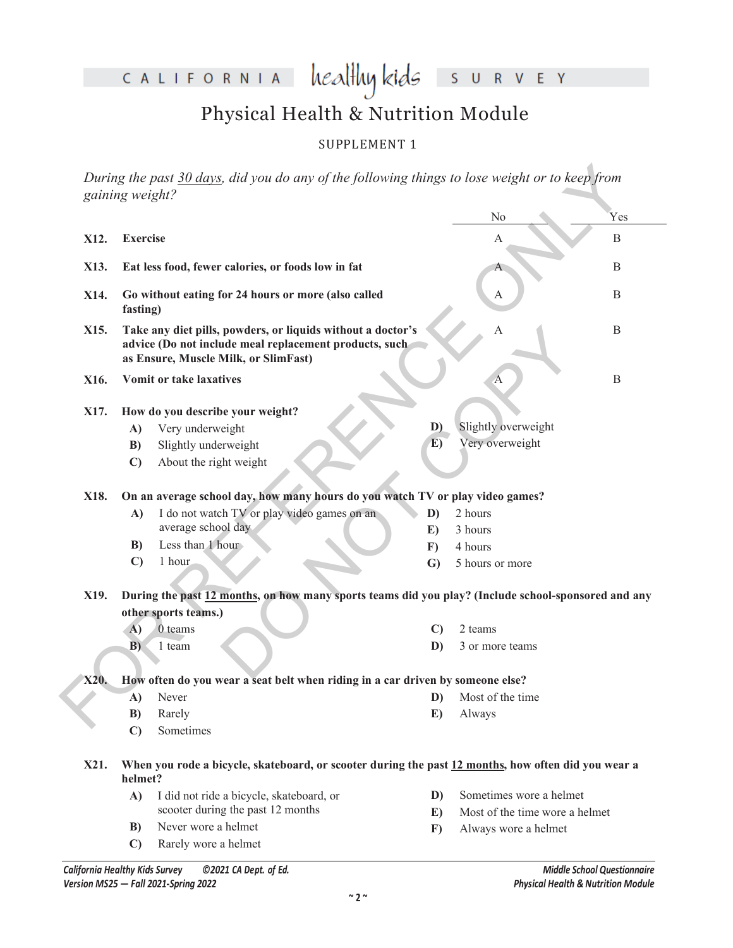CALIFORNIA healthykids SURVEY

# Physical Health & Nutrition Module

### SUPPLEMENT 1

|      | gaining weight?                                                                                                                                                               | During the past 30 days, did you do any of the following things to lose weight or to keep from |              |                                |             |  |  |  |  |  |  |
|------|-------------------------------------------------------------------------------------------------------------------------------------------------------------------------------|------------------------------------------------------------------------------------------------|--------------|--------------------------------|-------------|--|--|--|--|--|--|
|      |                                                                                                                                                                               |                                                                                                |              | No                             | Yes         |  |  |  |  |  |  |
| X12. | <b>Exercise</b>                                                                                                                                                               |                                                                                                |              | A                              | $\mathbf B$ |  |  |  |  |  |  |
| X13. |                                                                                                                                                                               | Eat less food, fewer calories, or foods low in fat                                             |              |                                | $\mathbf B$ |  |  |  |  |  |  |
| X14. | fasting)                                                                                                                                                                      | Go without eating for 24 hours or more (also called                                            |              | А                              | B           |  |  |  |  |  |  |
| X15. | Take any diet pills, powders, or liquids without a doctor's<br>$\mathbf{A}$<br>advice (Do not include meal replacement products, such<br>as Ensure, Muscle Milk, or SlimFast) |                                                                                                |              |                                |             |  |  |  |  |  |  |
| X16. |                                                                                                                                                                               | Vomit or take laxatives                                                                        |              | А                              | B           |  |  |  |  |  |  |
| X17. | How do you describe your weight?                                                                                                                                              |                                                                                                |              |                                |             |  |  |  |  |  |  |
|      | A)                                                                                                                                                                            | Very underweight                                                                               | D)           | Slightly overweight            |             |  |  |  |  |  |  |
|      | B)                                                                                                                                                                            | Slightly underweight                                                                           | E)           | Very overweight                |             |  |  |  |  |  |  |
|      | $\mathbf{C}$                                                                                                                                                                  | About the right weight                                                                         |              |                                |             |  |  |  |  |  |  |
| X18. | On an average school day, how many hours do you watch TV or play video games?                                                                                                 |                                                                                                |              |                                |             |  |  |  |  |  |  |
|      | A)                                                                                                                                                                            | I do not watch TV or play video games on an                                                    | D)           | 2 hours                        |             |  |  |  |  |  |  |
|      |                                                                                                                                                                               | average school day                                                                             | E)           | 3 hours                        |             |  |  |  |  |  |  |
|      | B)                                                                                                                                                                            | Less than 1 hour                                                                               | F)           | 4 hours                        |             |  |  |  |  |  |  |
|      | $\mathbf{C}$                                                                                                                                                                  | 1 hour                                                                                         | $\mathbf{G}$ | 5 hours or more                |             |  |  |  |  |  |  |
| X19. | During the past 12 months, on how many sports teams did you play? (Include school-sponsored and any                                                                           |                                                                                                |              |                                |             |  |  |  |  |  |  |
|      | other sports teams.)                                                                                                                                                          |                                                                                                |              |                                |             |  |  |  |  |  |  |
|      | A)                                                                                                                                                                            | 0 teams                                                                                        | $\mathbf{C}$ | 2 teams                        |             |  |  |  |  |  |  |
|      | B                                                                                                                                                                             | 1 team                                                                                         | D)           | 3 or more teams                |             |  |  |  |  |  |  |
|      |                                                                                                                                                                               |                                                                                                |              |                                |             |  |  |  |  |  |  |
| X20. | How often do you wear a seat belt when riding in a car driven by someone else?                                                                                                |                                                                                                |              |                                |             |  |  |  |  |  |  |
|      | A)                                                                                                                                                                            | Never                                                                                          | D)           | Most of the time               |             |  |  |  |  |  |  |
|      | B)                                                                                                                                                                            | Rarely                                                                                         | E)           | Always                         |             |  |  |  |  |  |  |
|      | $\mathbf{C}$                                                                                                                                                                  | Sometimes                                                                                      |              |                                |             |  |  |  |  |  |  |
| X21. | When you rode a bicycle, skateboard, or scooter during the past 12 months, how often did you wear a<br>helmet?                                                                |                                                                                                |              |                                |             |  |  |  |  |  |  |
|      | A)                                                                                                                                                                            | I did not ride a bicycle, skateboard, or                                                       | D)           | Sometimes wore a helmet        |             |  |  |  |  |  |  |
|      |                                                                                                                                                                               | scooter during the past 12 months                                                              | E)           | Most of the time wore a helmet |             |  |  |  |  |  |  |
|      | B)                                                                                                                                                                            | Never wore a helmet                                                                            | $\bf{F}$     | Always wore a helmet           |             |  |  |  |  |  |  |
|      | $\mathbf{C}$                                                                                                                                                                  | Rarely wore a helmet                                                                           |              |                                |             |  |  |  |  |  |  |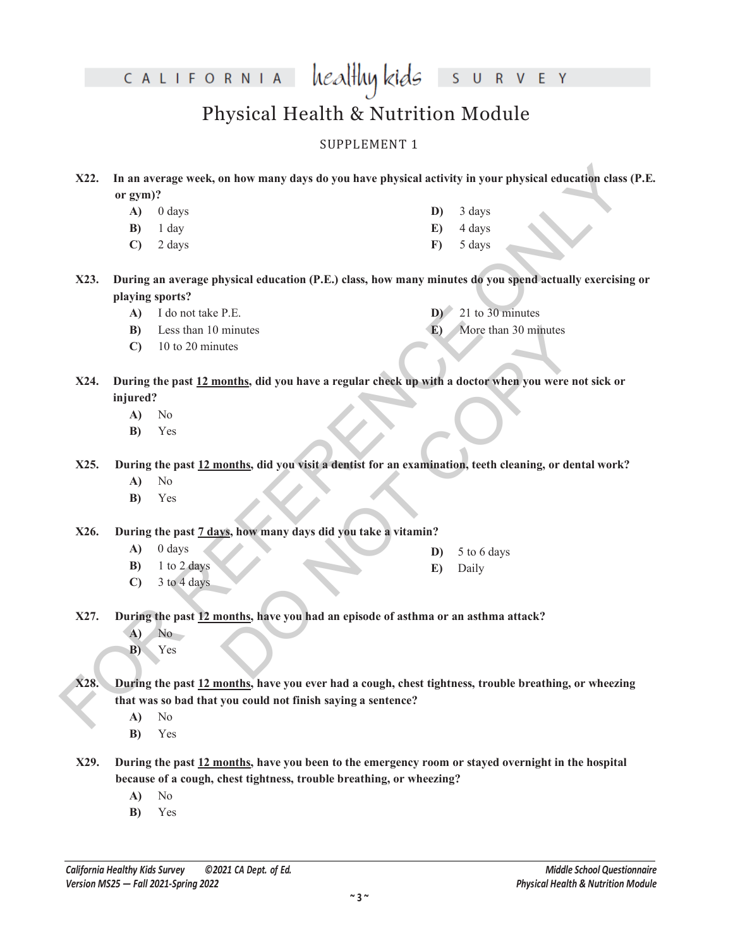CALIFORNIA healthy kids

S U R V E Y

## Physical Health & Nutrition Module

#### SUPPLEMENT 1

**X22. In an average week, on how many days do you have physical activity in your physical education class (P.E. or gym)?**

- **A)** 0 days **B)** 1 day **D)** 3 days **E)** 4 days
- **C)** 2 days

**F)** 5 days

**D)** 21 to 30 minutes **E)** More than 30 minutes

X22. In an average week, on how many days do you have physical activity in your physical education chase (P.<br>
(a) (days<br>
(B)  $1 \text{ days}$ <br>
(C)  $2 \text{ days}$ <br>
(C)  $2 \text{ days}$ <br>
(C)  $2 \text{ days}$ <br>
(C)  $2 \text{ days}$ <br>
(C)  $2 \text{ days}$ <br>
(C)  $2 \text{ days}$ <br>
(C **X23. During an average physical education (P.E.) class, how many minutes do you spend actually exercising or playing sports?**

- **A)** I do not take P.E.
- **B)** Less than 10 minutes
- **C)** 10 to 20 minutes
- minutes<br>
Onths, did you have a regular check up with a doctor when you were not<br>
Nore than 30 minutes<br>
Onths, did you have a regular check up with a doctor when you were not<br>
Onths, did you visit a dentist for an examinati **X24. During the past 12 months, did you have a regular check up with a doctor when you were not sick or injured?**
	- **A)** No
	- **B)** Yes

**X25. During the past 12 months, did you visit a dentist for an examination, teeth cleaning, or dental work?**

- **A)** No
- **B)** Yes

**X26. During the past 7 days, how many days did you take a vitamin?**

**A)** 0 days

- **D)** 5 to 6 days
- **E)** Daily
- **B)** 1 to 2 days **C)** 3 to 4 days
- **X27. During the past 12 months, have you had an episode of asthma or an asthma attack?**
	- **A)** No
	- **B)** Yes
- **X28. During the past 12 months, have you ever had a cough, chest tightness, trouble breathing, or wheezing that was so bad that you could not finish saying a sentence?**
	- **A)** No
	- **B)** Yes
- **X29. During the past 12 months, have you been to the emergency room or stayed overnight in the hospital because of a cough, chest tightness, trouble breathing, or wheezing?**
	- **A)** No
	- **B)** Yes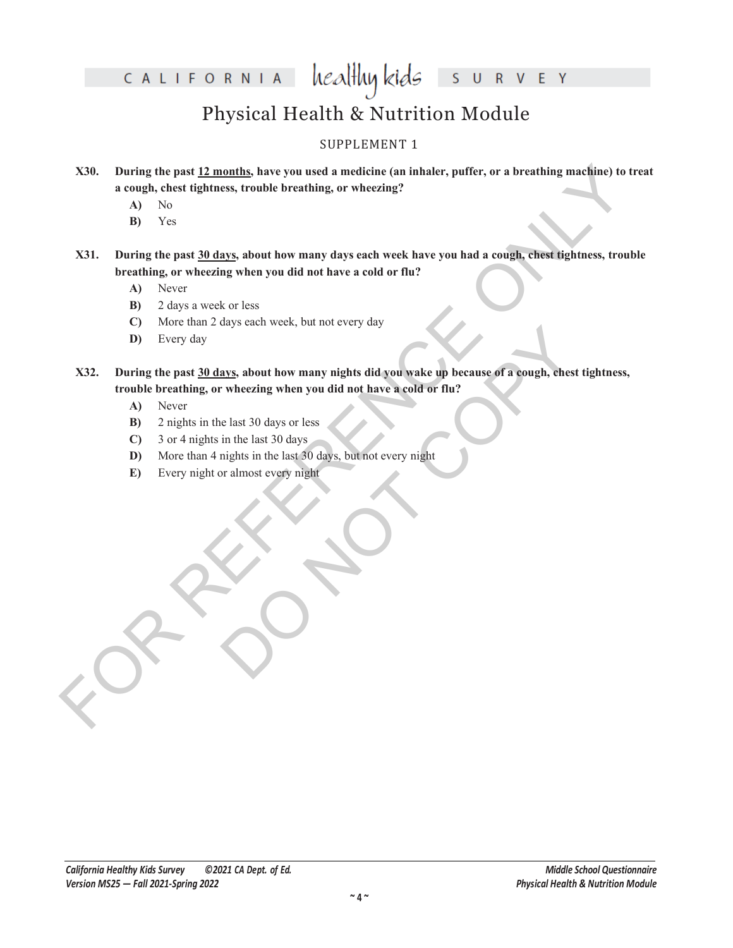CALIFORNIA

heal<del>l</del>luy kids  $S$ V E Y  $\overline{R}$  $\cup$ 

## Physical Health & Nutrition Module

#### SUPPLEMENT 1

- FOR REFERENCE ONLY **X30. During the past 12 months, have you used a medicine (an inhaler, puffer, or a breathing machine) to treat a cough, chest tightness, trouble breathing, or wheezing?**
	- **A)** No
	- **B)** Yes

**X31. During the past 30 days, about how many days each week have you had a cough, chest tightness, trouble breathing, or wheezing when you did not have a cold or flu?**

- **A)** Never
- **B)** 2 days a week or less
- **C)** More than 2 days each week, but not every day
- **D)** Every day

ays about how many nights did you wake up because of a cough, chest ti<br>
wheezing when you did not have a cold or flu?<br>
e last 30 days or less<br>
in the last 30 days<br>
mights in the last 30 days, but not every night<br>
or almost **X32. During the past 30 days, about how many nights did you wake up because of a cough, chest tightness, trouble breathing, or wheezing when you did not have a cold or flu?**

- **A)** Never
- **B)** 2 nights in the last 30 days or less
- **C)** 3 or 4 nights in the last 30 days
- **D)** More than 4 nights in the last 30 days, but not every night
- **E)** Every night or almost every night